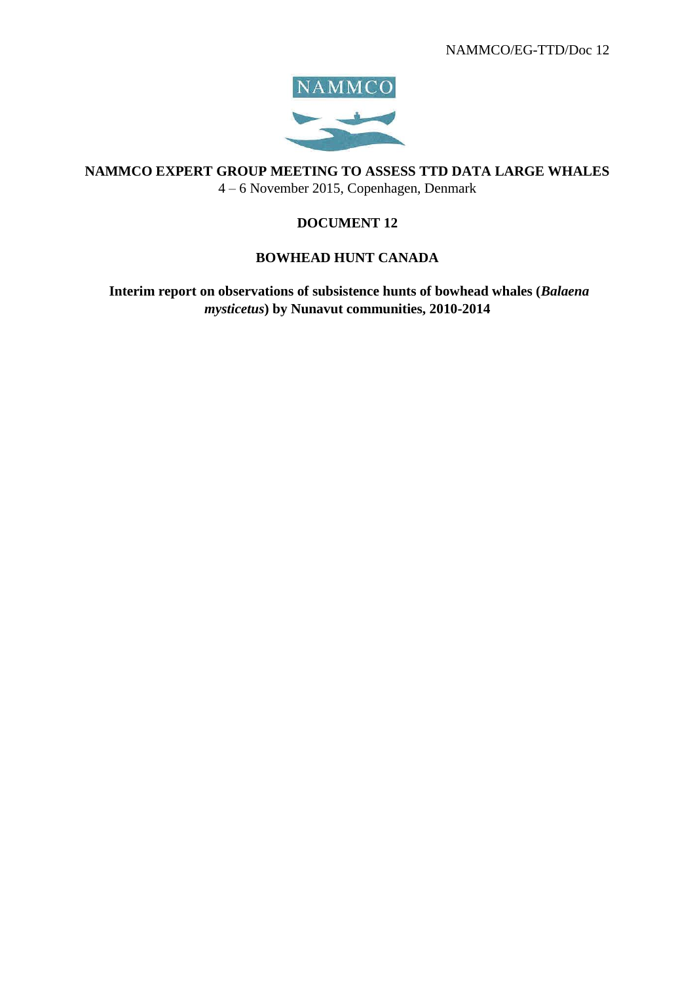

**NAMMCO EXPERT GROUP MEETING TO ASSESS TTD DATA LARGE WHALES** 4 – 6 November 2015, Copenhagen, Denmark

# **DOCUMENT 12**

# **BOWHEAD HUNT CANADA**

**Interim report on observations of subsistence hunts of bowhead whales (***Balaena mysticetus***) by Nunavut communities, 2010-2014**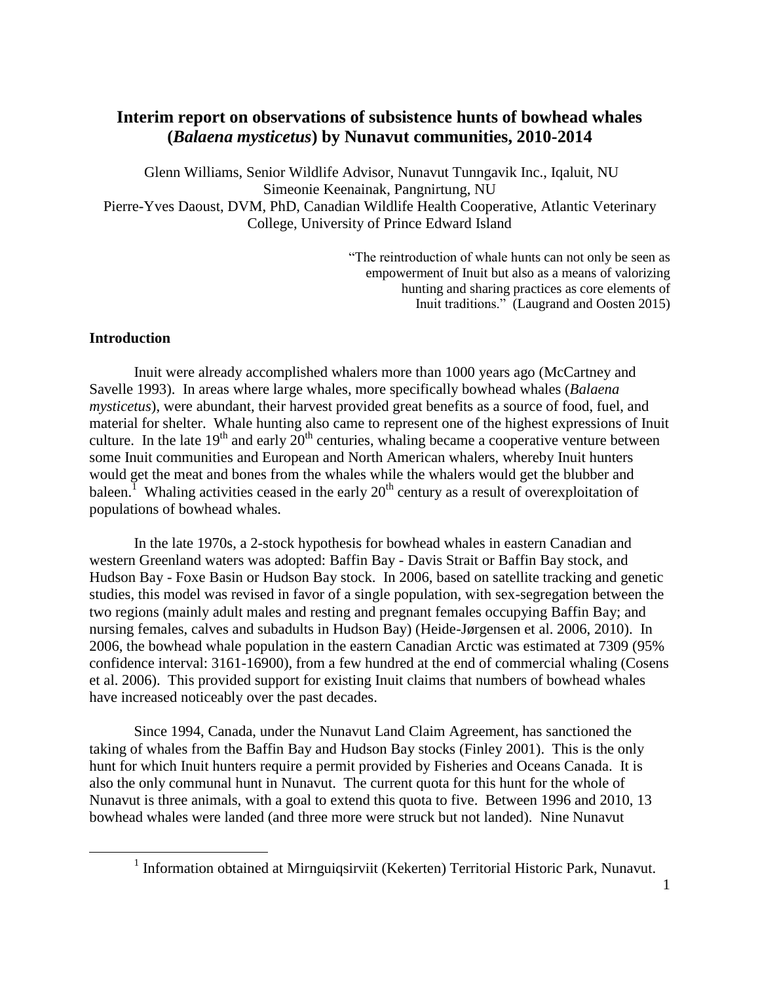# **Interim report on observations of subsistence hunts of bowhead whales (***Balaena mysticetus***) by Nunavut communities, 2010-2014**

Glenn Williams, Senior Wildlife Advisor, Nunavut Tunngavik Inc., Iqaluit, NU Simeonie Keenainak, Pangnirtung, NU Pierre-Yves Daoust, DVM, PhD, Canadian Wildlife Health Cooperative, Atlantic Veterinary College, University of Prince Edward Island

> "The reintroduction of whale hunts can not only be seen as empowerment of Inuit but also as a means of valorizing hunting and sharing practices as core elements of Inuit traditions." (Laugrand and Oosten 2015)

## **Introduction**

 $\overline{a}$ 

Inuit were already accomplished whalers more than 1000 years ago (McCartney and Savelle 1993). In areas where large whales, more specifically bowhead whales (*Balaena mysticetus*), were abundant, their harvest provided great benefits as a source of food, fuel, and material for shelter. Whale hunting also came to represent one of the highest expressions of Inuit culture. In the late  $19<sup>th</sup>$  and early  $20<sup>th</sup>$  centuries, whaling became a cooperative venture between some Inuit communities and European and North American whalers, whereby Inuit hunters would get the meat and bones from the whales while the whalers would get the blubber and baleen.<sup>1</sup> Whaling activities ceased in the early  $20<sup>th</sup>$  century as a result of overexploitation of populations of bowhead whales.

In the late 1970s, a 2-stock hypothesis for bowhead whales in eastern Canadian and western Greenland waters was adopted: Baffin Bay - Davis Strait or Baffin Bay stock, and Hudson Bay - Foxe Basin or Hudson Bay stock. In 2006, based on satellite tracking and genetic studies, this model was revised in favor of a single population, with sex-segregation between the two regions (mainly adult males and resting and pregnant females occupying Baffin Bay; and nursing females, calves and subadults in Hudson Bay) (Heide-Jørgensen et al. 2006, 2010). In 2006, the bowhead whale population in the eastern Canadian Arctic was estimated at 7309 (95% confidence interval: 3161-16900), from a few hundred at the end of commercial whaling (Cosens et al. 2006). This provided support for existing Inuit claims that numbers of bowhead whales have increased noticeably over the past decades.

Since 1994, Canada, under the Nunavut Land Claim Agreement, has sanctioned the taking of whales from the Baffin Bay and Hudson Bay stocks (Finley 2001). This is the only hunt for which Inuit hunters require a permit provided by Fisheries and Oceans Canada. It is also the only communal hunt in Nunavut. The current quota for this hunt for the whole of Nunavut is three animals, with a goal to extend this quota to five. Between 1996 and 2010, 13 bowhead whales were landed (and three more were struck but not landed). Nine Nunavut

<sup>&</sup>lt;sup>1</sup> Information obtained at Mirnguiqsirviit (Kekerten) Territorial Historic Park, Nunavut.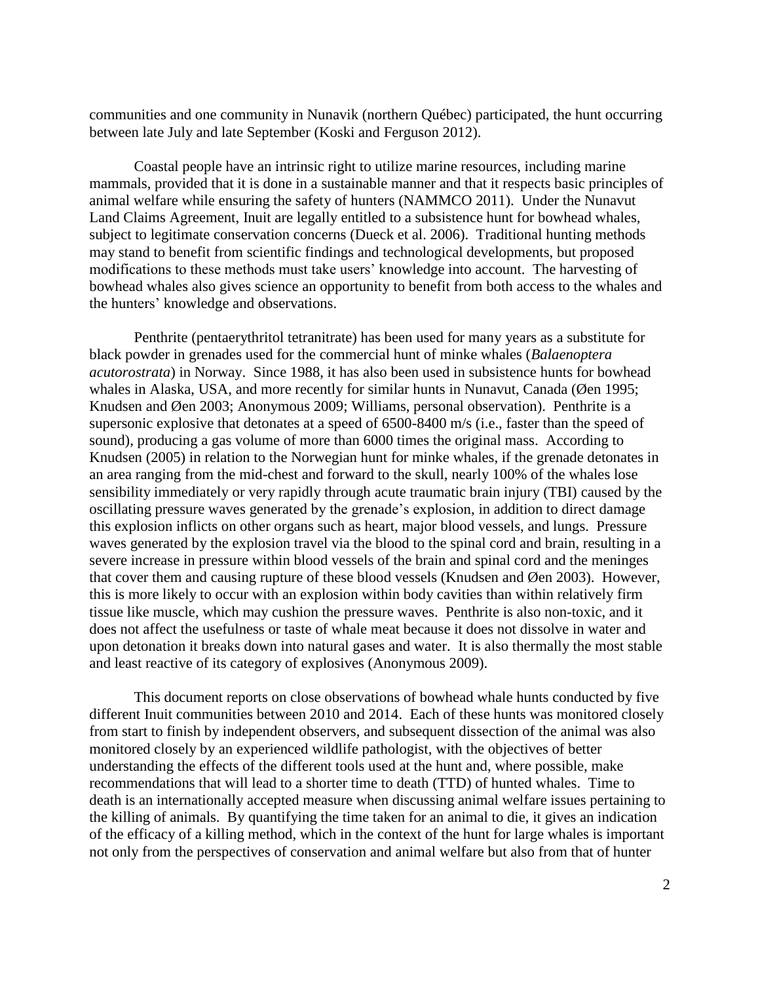communities and one community in Nunavik (northern Québec) participated, the hunt occurring between late July and late September (Koski and Ferguson 2012).

Coastal people have an intrinsic right to utilize marine resources, including marine mammals, provided that it is done in a sustainable manner and that it respects basic principles of animal welfare while ensuring the safety of hunters (NAMMCO 2011). Under the Nunavut Land Claims Agreement, Inuit are legally entitled to a subsistence hunt for bowhead whales, subject to legitimate conservation concerns (Dueck et al. 2006). Traditional hunting methods may stand to benefit from scientific findings and technological developments, but proposed modifications to these methods must take users" knowledge into account. The harvesting of bowhead whales also gives science an opportunity to benefit from both access to the whales and the hunters" knowledge and observations.

Penthrite (pentaerythritol tetranitrate) has been used for many years as a substitute for black powder in grenades used for the commercial hunt of minke whales (*Balaenoptera acutorostrata*) in Norway. Since 1988, it has also been used in subsistence hunts for bowhead whales in Alaska, USA, and more recently for similar hunts in Nunavut, Canada (Øen 1995; Knudsen and Øen 2003; Anonymous 2009; Williams, personal observation). Penthrite is a supersonic explosive that detonates at a speed of 6500-8400 m/s (i.e., faster than the speed of sound), producing a gas volume of more than 6000 times the original mass. According to Knudsen (2005) in relation to the Norwegian hunt for minke whales, if the grenade detonates in an area ranging from the mid-chest and forward to the skull, nearly 100% of the whales lose sensibility immediately or very rapidly through acute traumatic brain injury (TBI) caused by the oscillating pressure waves generated by the grenade"s explosion, in addition to direct damage this explosion inflicts on other organs such as heart, major blood vessels, and lungs. Pressure waves generated by the explosion travel via the blood to the spinal cord and brain, resulting in a severe increase in pressure within blood vessels of the brain and spinal cord and the meninges that cover them and causing rupture of these blood vessels (Knudsen and Øen 2003). However, this is more likely to occur with an explosion within body cavities than within relatively firm tissue like muscle, which may cushion the pressure waves. Penthrite is also non-toxic, and it does not affect the usefulness or taste of whale meat because it does not dissolve in water and upon detonation it breaks down into natural gases and water. It is also thermally the most stable and least reactive of its category of explosives (Anonymous 2009).

This document reports on close observations of bowhead whale hunts conducted by five different Inuit communities between 2010 and 2014. Each of these hunts was monitored closely from start to finish by independent observers, and subsequent dissection of the animal was also monitored closely by an experienced wildlife pathologist, with the objectives of better understanding the effects of the different tools used at the hunt and, where possible, make recommendations that will lead to a shorter time to death (TTD) of hunted whales. Time to death is an internationally accepted measure when discussing animal welfare issues pertaining to the killing of animals. By quantifying the time taken for an animal to die, it gives an indication of the efficacy of a killing method, which in the context of the hunt for large whales is important not only from the perspectives of conservation and animal welfare but also from that of hunter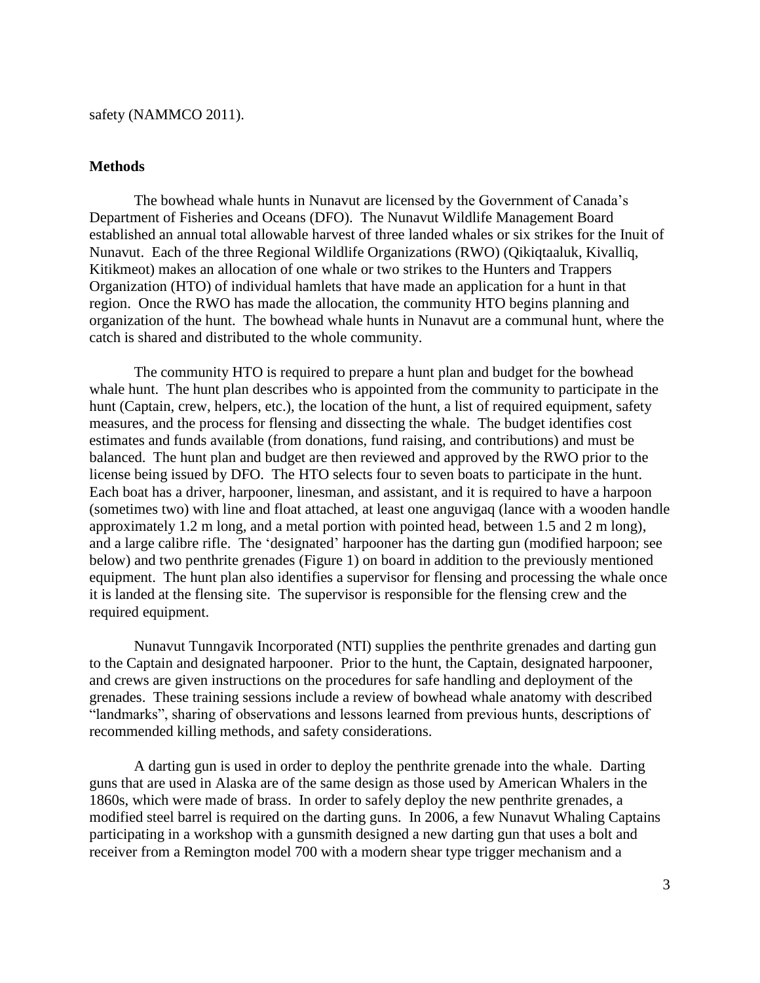## safety (NAMMCO 2011).

## **Methods**

The bowhead whale hunts in Nunavut are licensed by the Government of Canada"s Department of Fisheries and Oceans (DFO). The Nunavut Wildlife Management Board established an annual total allowable harvest of three landed whales or six strikes for the Inuit of Nunavut. Each of the three Regional Wildlife Organizations (RWO) (Qikiqtaaluk, Kivalliq, Kitikmeot) makes an allocation of one whale or two strikes to the Hunters and Trappers Organization (HTO) of individual hamlets that have made an application for a hunt in that region. Once the RWO has made the allocation, the community HTO begins planning and organization of the hunt. The bowhead whale hunts in Nunavut are a communal hunt, where the catch is shared and distributed to the whole community.

The community HTO is required to prepare a hunt plan and budget for the bowhead whale hunt. The hunt plan describes who is appointed from the community to participate in the hunt (Captain, crew, helpers, etc.), the location of the hunt, a list of required equipment, safety measures, and the process for flensing and dissecting the whale. The budget identifies cost estimates and funds available (from donations, fund raising, and contributions) and must be balanced. The hunt plan and budget are then reviewed and approved by the RWO prior to the license being issued by DFO. The HTO selects four to seven boats to participate in the hunt. Each boat has a driver, harpooner, linesman, and assistant, and it is required to have a harpoon (sometimes two) with line and float attached, at least one anguvigaq (lance with a wooden handle approximately 1.2 m long, and a metal portion with pointed head, between 1.5 and 2 m long), and a large calibre rifle. The 'designated' harpooner has the darting gun (modified harpoon; see below) and two penthrite grenades (Figure 1) on board in addition to the previously mentioned equipment. The hunt plan also identifies a supervisor for flensing and processing the whale once it is landed at the flensing site. The supervisor is responsible for the flensing crew and the required equipment.

Nunavut Tunngavik Incorporated (NTI) supplies the penthrite grenades and darting gun to the Captain and designated harpooner. Prior to the hunt, the Captain, designated harpooner, and crews are given instructions on the procedures for safe handling and deployment of the grenades. These training sessions include a review of bowhead whale anatomy with described "landmarks", sharing of observations and lessons learned from previous hunts, descriptions of recommended killing methods, and safety considerations.

A darting gun is used in order to deploy the penthrite grenade into the whale. Darting guns that are used in Alaska are of the same design as those used by American Whalers in the 1860s, which were made of brass. In order to safely deploy the new penthrite grenades, a modified steel barrel is required on the darting guns. In 2006, a few Nunavut Whaling Captains participating in a workshop with a gunsmith designed a new darting gun that uses a bolt and receiver from a Remington model 700 with a modern shear type trigger mechanism and a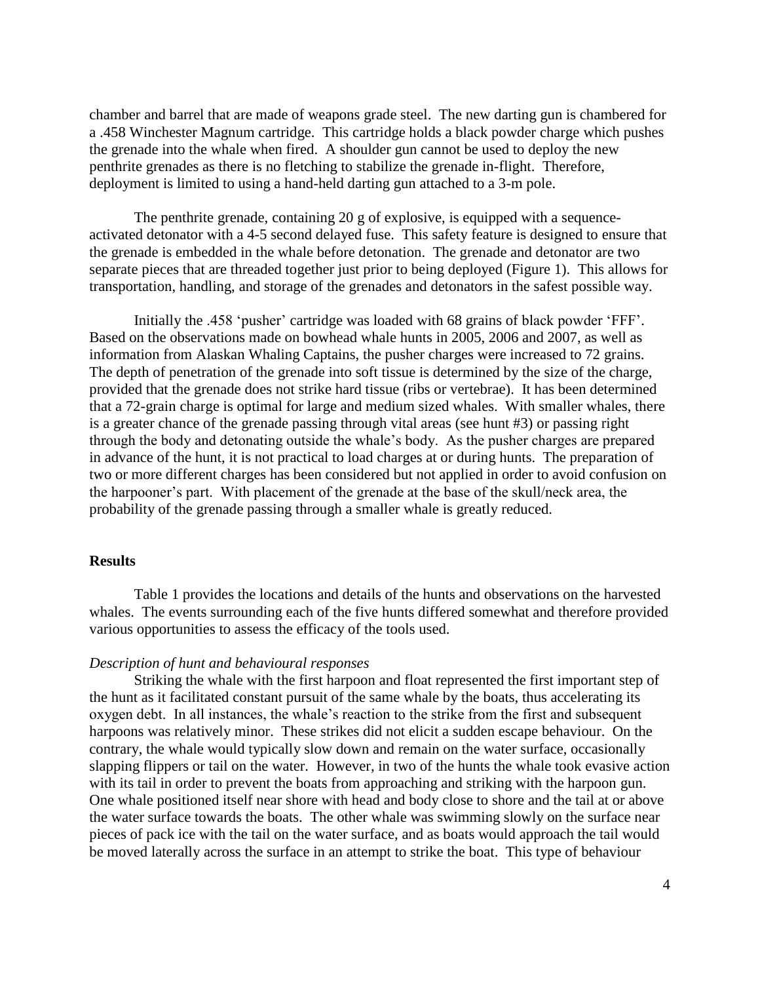chamber and barrel that are made of weapons grade steel. The new darting gun is chambered for a .458 Winchester Magnum cartridge. This cartridge holds a black powder charge which pushes the grenade into the whale when fired. A shoulder gun cannot be used to deploy the new penthrite grenades as there is no fletching to stabilize the grenade in-flight. Therefore, deployment is limited to using a hand-held darting gun attached to a 3-m pole.

The penthrite grenade, containing 20 g of explosive, is equipped with a sequenceactivated detonator with a 4-5 second delayed fuse. This safety feature is designed to ensure that the grenade is embedded in the whale before detonation. The grenade and detonator are two separate pieces that are threaded together just prior to being deployed (Figure 1). This allows for transportation, handling, and storage of the grenades and detonators in the safest possible way.

Initially the .458 'pusher' cartridge was loaded with 68 grains of black powder 'FFF'. Based on the observations made on bowhead whale hunts in 2005, 2006 and 2007, as well as information from Alaskan Whaling Captains, the pusher charges were increased to 72 grains. The depth of penetration of the grenade into soft tissue is determined by the size of the charge, provided that the grenade does not strike hard tissue (ribs or vertebrae). It has been determined that a 72-grain charge is optimal for large and medium sized whales. With smaller whales, there is a greater chance of the grenade passing through vital areas (see hunt #3) or passing right through the body and detonating outside the whale"s body. As the pusher charges are prepared in advance of the hunt, it is not practical to load charges at or during hunts. The preparation of two or more different charges has been considered but not applied in order to avoid confusion on the harpooner"s part. With placement of the grenade at the base of the skull/neck area, the probability of the grenade passing through a smaller whale is greatly reduced.

### **Results**

Table 1 provides the locations and details of the hunts and observations on the harvested whales. The events surrounding each of the five hunts differed somewhat and therefore provided various opportunities to assess the efficacy of the tools used.

#### *Description of hunt and behavioural responses*

Striking the whale with the first harpoon and float represented the first important step of the hunt as it facilitated constant pursuit of the same whale by the boats, thus accelerating its oxygen debt. In all instances, the whale"s reaction to the strike from the first and subsequent harpoons was relatively minor. These strikes did not elicit a sudden escape behaviour. On the contrary, the whale would typically slow down and remain on the water surface, occasionally slapping flippers or tail on the water. However, in two of the hunts the whale took evasive action with its tail in order to prevent the boats from approaching and striking with the harpoon gun. One whale positioned itself near shore with head and body close to shore and the tail at or above the water surface towards the boats. The other whale was swimming slowly on the surface near pieces of pack ice with the tail on the water surface, and as boats would approach the tail would be moved laterally across the surface in an attempt to strike the boat. This type of behaviour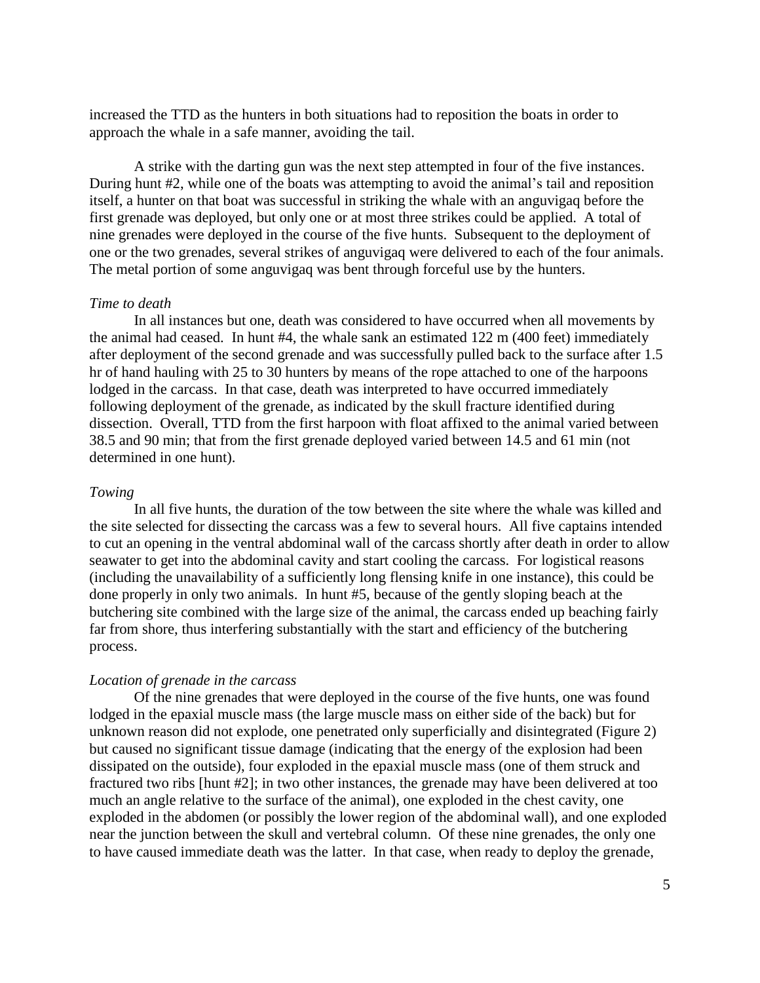increased the TTD as the hunters in both situations had to reposition the boats in order to approach the whale in a safe manner, avoiding the tail.

A strike with the darting gun was the next step attempted in four of the five instances. During hunt #2, while one of the boats was attempting to avoid the animal"s tail and reposition itself, a hunter on that boat was successful in striking the whale with an anguvigaq before the first grenade was deployed, but only one or at most three strikes could be applied. A total of nine grenades were deployed in the course of the five hunts. Subsequent to the deployment of one or the two grenades, several strikes of anguvigaq were delivered to each of the four animals. The metal portion of some anguvigaq was bent through forceful use by the hunters.

#### *Time to death*

In all instances but one, death was considered to have occurred when all movements by the animal had ceased. In hunt #4, the whale sank an estimated 122 m (400 feet) immediately after deployment of the second grenade and was successfully pulled back to the surface after 1.5 hr of hand hauling with 25 to 30 hunters by means of the rope attached to one of the harpoons lodged in the carcass. In that case, death was interpreted to have occurred immediately following deployment of the grenade, as indicated by the skull fracture identified during dissection. Overall, TTD from the first harpoon with float affixed to the animal varied between 38.5 and 90 min; that from the first grenade deployed varied between 14.5 and 61 min (not determined in one hunt).

## *Towing*

In all five hunts, the duration of the tow between the site where the whale was killed and the site selected for dissecting the carcass was a few to several hours. All five captains intended to cut an opening in the ventral abdominal wall of the carcass shortly after death in order to allow seawater to get into the abdominal cavity and start cooling the carcass. For logistical reasons (including the unavailability of a sufficiently long flensing knife in one instance), this could be done properly in only two animals. In hunt #5, because of the gently sloping beach at the butchering site combined with the large size of the animal, the carcass ended up beaching fairly far from shore, thus interfering substantially with the start and efficiency of the butchering process.

#### *Location of grenade in the carcass*

Of the nine grenades that were deployed in the course of the five hunts, one was found lodged in the epaxial muscle mass (the large muscle mass on either side of the back) but for unknown reason did not explode, one penetrated only superficially and disintegrated (Figure 2) but caused no significant tissue damage (indicating that the energy of the explosion had been dissipated on the outside), four exploded in the epaxial muscle mass (one of them struck and fractured two ribs [hunt #2]; in two other instances, the grenade may have been delivered at too much an angle relative to the surface of the animal), one exploded in the chest cavity, one exploded in the abdomen (or possibly the lower region of the abdominal wall), and one exploded near the junction between the skull and vertebral column. Of these nine grenades, the only one to have caused immediate death was the latter. In that case, when ready to deploy the grenade,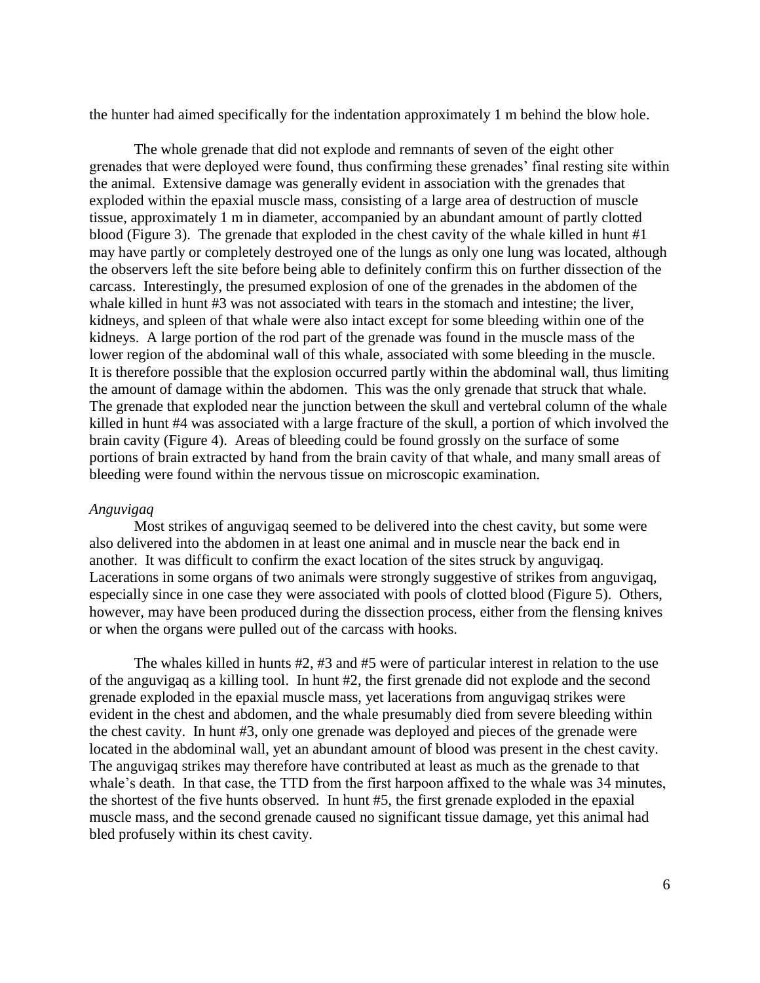the hunter had aimed specifically for the indentation approximately 1 m behind the blow hole.

The whole grenade that did not explode and remnants of seven of the eight other grenades that were deployed were found, thus confirming these grenades" final resting site within the animal. Extensive damage was generally evident in association with the grenades that exploded within the epaxial muscle mass, consisting of a large area of destruction of muscle tissue, approximately 1 m in diameter, accompanied by an abundant amount of partly clotted blood (Figure 3). The grenade that exploded in the chest cavity of the whale killed in hunt  $#1$ may have partly or completely destroyed one of the lungs as only one lung was located, although the observers left the site before being able to definitely confirm this on further dissection of the carcass. Interestingly, the presumed explosion of one of the grenades in the abdomen of the whale killed in hunt #3 was not associated with tears in the stomach and intestine; the liver, kidneys, and spleen of that whale were also intact except for some bleeding within one of the kidneys. A large portion of the rod part of the grenade was found in the muscle mass of the lower region of the abdominal wall of this whale, associated with some bleeding in the muscle. It is therefore possible that the explosion occurred partly within the abdominal wall, thus limiting the amount of damage within the abdomen. This was the only grenade that struck that whale. The grenade that exploded near the junction between the skull and vertebral column of the whale killed in hunt #4 was associated with a large fracture of the skull, a portion of which involved the brain cavity (Figure 4). Areas of bleeding could be found grossly on the surface of some portions of brain extracted by hand from the brain cavity of that whale, and many small areas of bleeding were found within the nervous tissue on microscopic examination.

## *Anguvigaq*

Most strikes of anguvigaq seemed to be delivered into the chest cavity, but some were also delivered into the abdomen in at least one animal and in muscle near the back end in another. It was difficult to confirm the exact location of the sites struck by anguvigaq. Lacerations in some organs of two animals were strongly suggestive of strikes from anguvigaq, especially since in one case they were associated with pools of clotted blood (Figure 5). Others, however, may have been produced during the dissection process, either from the flensing knives or when the organs were pulled out of the carcass with hooks.

The whales killed in hunts #2, #3 and #5 were of particular interest in relation to the use of the anguvigaq as a killing tool. In hunt #2, the first grenade did not explode and the second grenade exploded in the epaxial muscle mass, yet lacerations from anguvigaq strikes were evident in the chest and abdomen, and the whale presumably died from severe bleeding within the chest cavity. In hunt #3, only one grenade was deployed and pieces of the grenade were located in the abdominal wall, yet an abundant amount of blood was present in the chest cavity. The anguvigaq strikes may therefore have contributed at least as much as the grenade to that whale's death. In that case, the TTD from the first harpoon affixed to the whale was 34 minutes, the shortest of the five hunts observed. In hunt #5, the first grenade exploded in the epaxial muscle mass, and the second grenade caused no significant tissue damage, yet this animal had bled profusely within its chest cavity.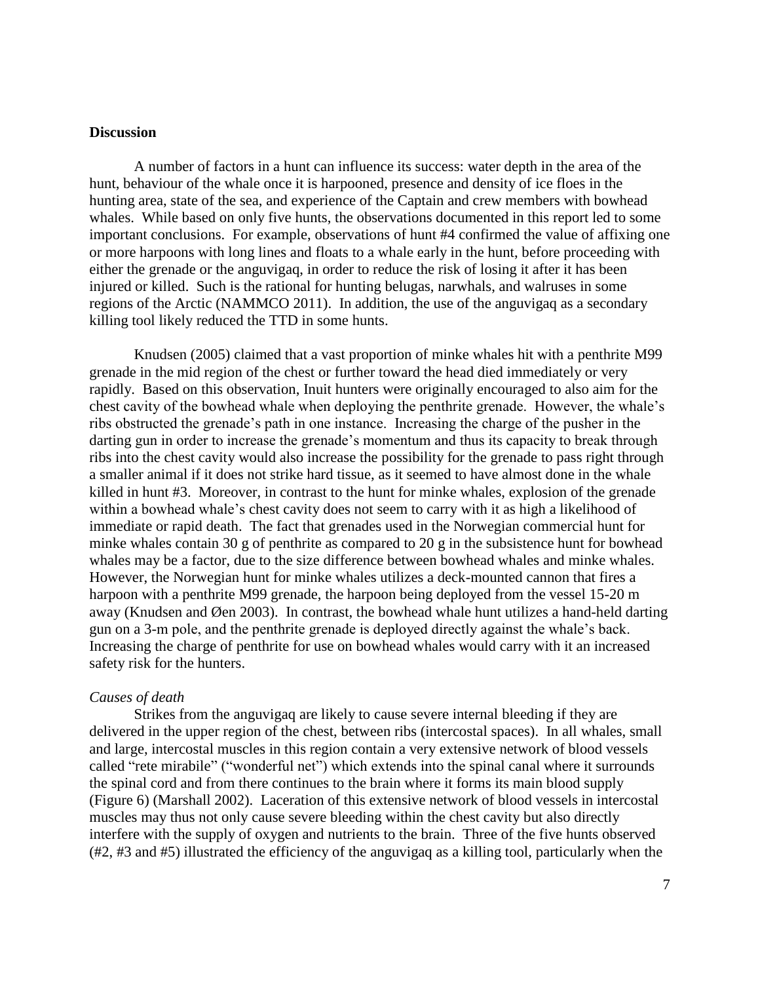## **Discussion**

A number of factors in a hunt can influence its success: water depth in the area of the hunt, behaviour of the whale once it is harpooned, presence and density of ice floes in the hunting area, state of the sea, and experience of the Captain and crew members with bowhead whales. While based on only five hunts, the observations documented in this report led to some important conclusions. For example, observations of hunt #4 confirmed the value of affixing one or more harpoons with long lines and floats to a whale early in the hunt, before proceeding with either the grenade or the anguvigaq, in order to reduce the risk of losing it after it has been injured or killed. Such is the rational for hunting belugas, narwhals, and walruses in some regions of the Arctic (NAMMCO 2011). In addition, the use of the anguvigaq as a secondary killing tool likely reduced the TTD in some hunts.

Knudsen (2005) claimed that a vast proportion of minke whales hit with a penthrite M99 grenade in the mid region of the chest or further toward the head died immediately or very rapidly. Based on this observation, Inuit hunters were originally encouraged to also aim for the chest cavity of the bowhead whale when deploying the penthrite grenade. However, the whale"s ribs obstructed the grenade"s path in one instance. Increasing the charge of the pusher in the darting gun in order to increase the grenade's momentum and thus its capacity to break through ribs into the chest cavity would also increase the possibility for the grenade to pass right through a smaller animal if it does not strike hard tissue, as it seemed to have almost done in the whale killed in hunt #3. Moreover, in contrast to the hunt for minke whales, explosion of the grenade within a bowhead whale's chest cavity does not seem to carry with it as high a likelihood of immediate or rapid death. The fact that grenades used in the Norwegian commercial hunt for minke whales contain 30 g of penthrite as compared to 20 g in the subsistence hunt for bowhead whales may be a factor, due to the size difference between bowhead whales and minke whales. However, the Norwegian hunt for minke whales utilizes a deck-mounted cannon that fires a harpoon with a penthrite M99 grenade, the harpoon being deployed from the vessel 15-20 m away (Knudsen and Øen 2003). In contrast, the bowhead whale hunt utilizes a hand-held darting gun on a 3-m pole, and the penthrite grenade is deployed directly against the whale"s back. Increasing the charge of penthrite for use on bowhead whales would carry with it an increased safety risk for the hunters.

## *Causes of death*

Strikes from the anguvigaq are likely to cause severe internal bleeding if they are delivered in the upper region of the chest, between ribs (intercostal spaces). In all whales, small and large, intercostal muscles in this region contain a very extensive network of blood vessels called "rete mirabile" ("wonderful net") which extends into the spinal canal where it surrounds the spinal cord and from there continues to the brain where it forms its main blood supply (Figure 6) (Marshall 2002). Laceration of this extensive network of blood vessels in intercostal muscles may thus not only cause severe bleeding within the chest cavity but also directly interfere with the supply of oxygen and nutrients to the brain. Three of the five hunts observed (#2, #3 and #5) illustrated the efficiency of the anguvigaq as a killing tool, particularly when the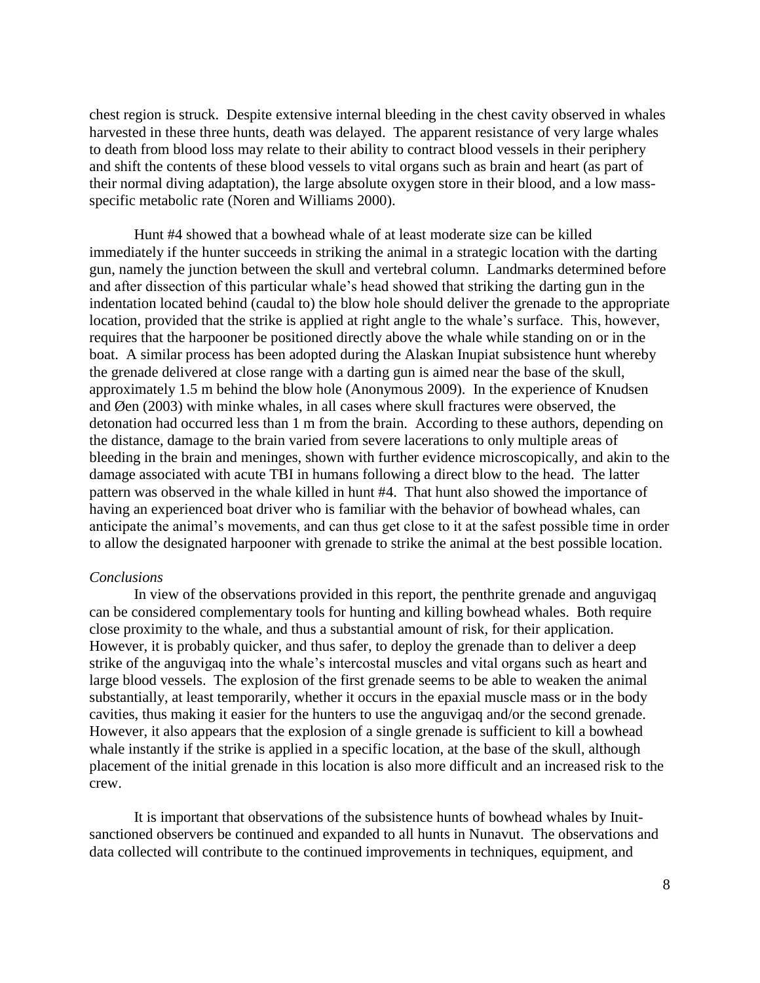chest region is struck. Despite extensive internal bleeding in the chest cavity observed in whales harvested in these three hunts, death was delayed. The apparent resistance of very large whales to death from blood loss may relate to their ability to contract blood vessels in their periphery and shift the contents of these blood vessels to vital organs such as brain and heart (as part of their normal diving adaptation), the large absolute oxygen store in their blood, and a low massspecific metabolic rate (Noren and Williams 2000).

Hunt #4 showed that a bowhead whale of at least moderate size can be killed immediately if the hunter succeeds in striking the animal in a strategic location with the darting gun, namely the junction between the skull and vertebral column. Landmarks determined before and after dissection of this particular whale"s head showed that striking the darting gun in the indentation located behind (caudal to) the blow hole should deliver the grenade to the appropriate location, provided that the strike is applied at right angle to the whale"s surface. This, however, requires that the harpooner be positioned directly above the whale while standing on or in the boat. A similar process has been adopted during the Alaskan Inupiat subsistence hunt whereby the grenade delivered at close range with a darting gun is aimed near the base of the skull, approximately 1.5 m behind the blow hole (Anonymous 2009). In the experience of Knudsen and Øen (2003) with minke whales, in all cases where skull fractures were observed, the detonation had occurred less than 1 m from the brain. According to these authors, depending on the distance, damage to the brain varied from severe lacerations to only multiple areas of bleeding in the brain and meninges, shown with further evidence microscopically, and akin to the damage associated with acute TBI in humans following a direct blow to the head. The latter pattern was observed in the whale killed in hunt #4. That hunt also showed the importance of having an experienced boat driver who is familiar with the behavior of bowhead whales, can anticipate the animal"s movements, and can thus get close to it at the safest possible time in order to allow the designated harpooner with grenade to strike the animal at the best possible location.

#### *Conclusions*

In view of the observations provided in this report, the penthrite grenade and anguvigaq can be considered complementary tools for hunting and killing bowhead whales. Both require close proximity to the whale, and thus a substantial amount of risk, for their application. However, it is probably quicker, and thus safer, to deploy the grenade than to deliver a deep strike of the anguvigaq into the whale"s intercostal muscles and vital organs such as heart and large blood vessels. The explosion of the first grenade seems to be able to weaken the animal substantially, at least temporarily, whether it occurs in the epaxial muscle mass or in the body cavities, thus making it easier for the hunters to use the anguvigaq and/or the second grenade. However, it also appears that the explosion of a single grenade is sufficient to kill a bowhead whale instantly if the strike is applied in a specific location, at the base of the skull, although placement of the initial grenade in this location is also more difficult and an increased risk to the crew.

It is important that observations of the subsistence hunts of bowhead whales by Inuitsanctioned observers be continued and expanded to all hunts in Nunavut. The observations and data collected will contribute to the continued improvements in techniques, equipment, and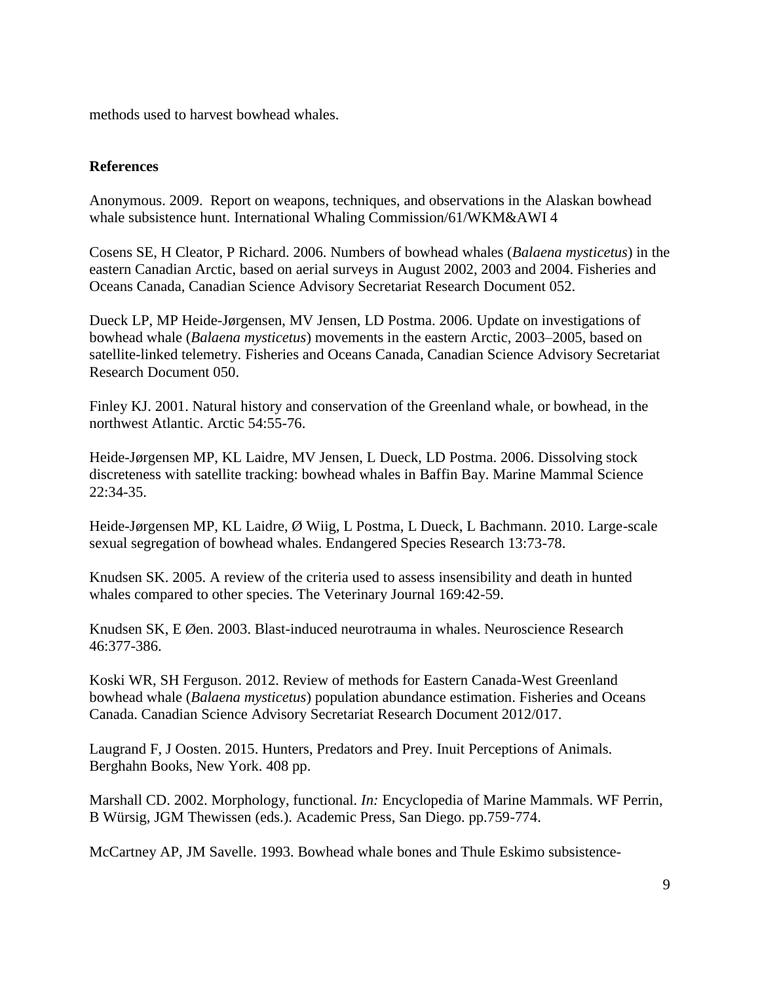methods used to harvest bowhead whales.

## **References**

Anonymous. 2009. Report on weapons, techniques, and observations in the Alaskan bowhead whale subsistence hunt. International Whaling Commission/61/WKM&AWI 4

Cosens SE, H Cleator, P Richard. 2006. Numbers of bowhead whales (*Balaena mysticetus*) in the eastern Canadian Arctic, based on aerial surveys in August 2002, 2003 and 2004. Fisheries and Oceans Canada, Canadian Science Advisory Secretariat Research Document 052.

Dueck LP, MP Heide-Jørgensen, MV Jensen, LD Postma. 2006. Update on investigations of bowhead whale (*Balaena mysticetus*) movements in the eastern Arctic, 2003–2005, based on satellite-linked telemetry. Fisheries and Oceans Canada, Canadian Science Advisory Secretariat Research Document 050.

Finley KJ. 2001. Natural history and conservation of the Greenland whale, or bowhead, in the northwest Atlantic. Arctic 54:55-76.

Heide-Jørgensen MP, KL Laidre, MV Jensen, L Dueck, LD Postma. 2006. Dissolving stock discreteness with satellite tracking: bowhead whales in Baffin Bay. Marine Mammal Science 22:34-35.

Heide-Jørgensen MP, KL Laidre, Ø Wiig, L Postma, L Dueck, L Bachmann. 2010. Large-scale sexual segregation of bowhead whales. Endangered Species Research 13:73-78.

Knudsen SK. 2005. A review of the criteria used to assess insensibility and death in hunted whales compared to other species. The Veterinary Journal 169:42-59.

Knudsen SK, E Øen. 2003. Blast-induced neurotrauma in whales. Neuroscience Research 46:377-386.

Koski WR, SH Ferguson. 2012. Review of methods for Eastern Canada-West Greenland bowhead whale (*Balaena mysticetus*) population abundance estimation. Fisheries and Oceans Canada. Canadian Science Advisory Secretariat Research Document 2012/017.

Laugrand F, J Oosten. 2015. Hunters, Predators and Prey. Inuit Perceptions of Animals. Berghahn Books, New York. 408 pp.

Marshall CD. 2002. Morphology, functional. *In:* Encyclopedia of Marine Mammals. WF Perrin, B Würsig, JGM Thewissen (eds.). Academic Press, San Diego. pp.759-774.

McCartney AP, JM Savelle. 1993. Bowhead whale bones and Thule Eskimo subsistence-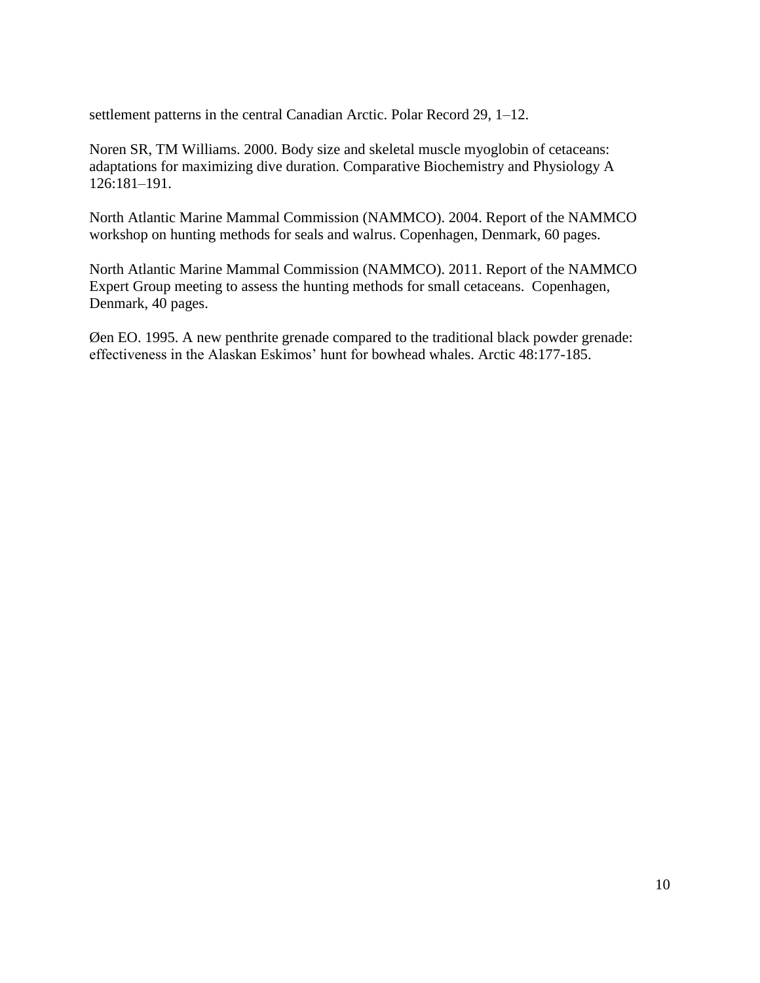settlement patterns in the central Canadian Arctic. Polar Record 29, 1–12.

Noren SR, TM Williams. 2000. Body size and skeletal muscle myoglobin of cetaceans: adaptations for maximizing dive duration. Comparative Biochemistry and Physiology A 126:181–191.

North Atlantic Marine Mammal Commission (NAMMCO). 2004. Report of the NAMMCO workshop on hunting methods for seals and walrus. Copenhagen, Denmark, 60 pages.

North Atlantic Marine Mammal Commission (NAMMCO). 2011. Report of the NAMMCO Expert Group meeting to assess the hunting methods for small cetaceans. Copenhagen, Denmark, 40 pages.

Øen EO. 1995. A new penthrite grenade compared to the traditional black powder grenade: effectiveness in the Alaskan Eskimos' hunt for bowhead whales. Arctic 48:177-185.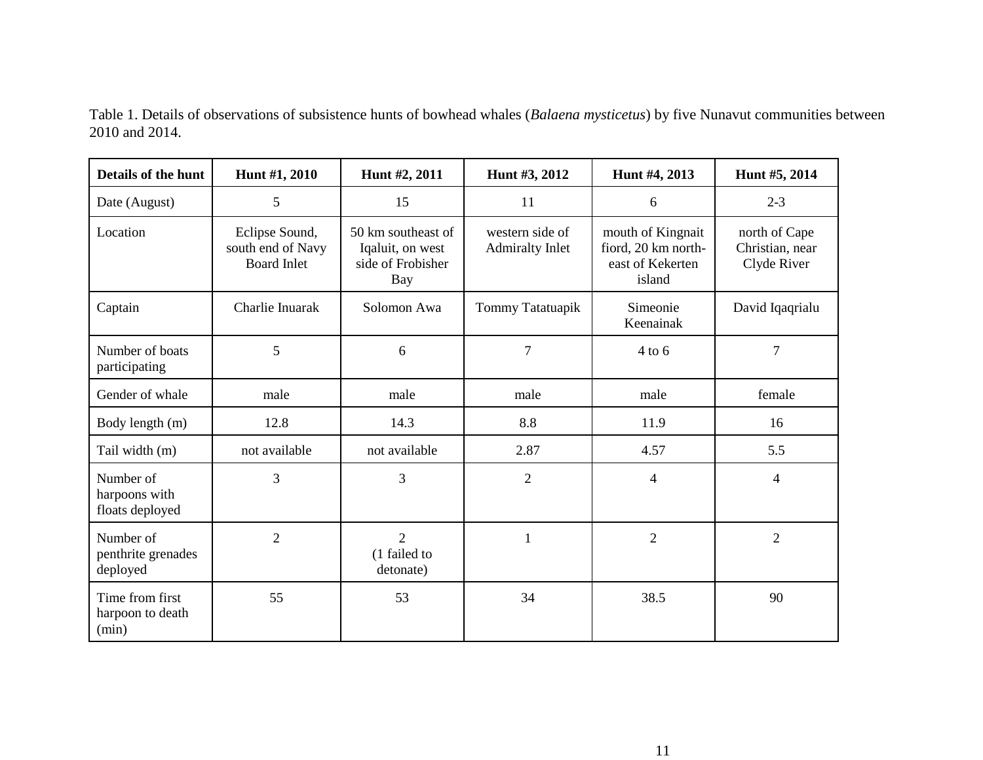| Details of the hunt                           | Hunt #1, 2010                                             | Hunt #2, 2011                                                      | Hunt #3, 2012                             | Hunt #4, 2013                                                          | Hunt #5, 2014                                   |
|-----------------------------------------------|-----------------------------------------------------------|--------------------------------------------------------------------|-------------------------------------------|------------------------------------------------------------------------|-------------------------------------------------|
| Date (August)                                 | 5                                                         | 15                                                                 | 11                                        | 6                                                                      | $2 - 3$                                         |
| Location                                      | Eclipse Sound,<br>south end of Navy<br><b>Board Inlet</b> | 50 km southeast of<br>Iqaluit, on west<br>side of Frobisher<br>Bay | western side of<br><b>Admiralty Inlet</b> | mouth of Kingnait<br>fiord, 20 km north-<br>east of Kekerten<br>island | north of Cape<br>Christian, near<br>Clyde River |
| Captain                                       | Charlie Inuarak                                           | Solomon Awa                                                        | Tommy Tatatuapik                          | Simeonie<br>Keenainak                                                  | David Iqaqrialu                                 |
| Number of boats<br>participating              | 5                                                         | 6                                                                  | $\overline{7}$                            | $4$ to $6$                                                             | $\overline{7}$                                  |
| Gender of whale                               | male                                                      | male                                                               | male                                      | male                                                                   | female                                          |
| Body length (m)                               | 12.8                                                      | 14.3                                                               | 8.8                                       | 11.9                                                                   | 16                                              |
| Tail width (m)                                | not available                                             | not available                                                      | 2.87                                      | 4.57                                                                   | 5.5                                             |
| Number of<br>harpoons with<br>floats deployed | 3                                                         | 3                                                                  | $\overline{2}$                            | $\overline{4}$                                                         | 4                                               |
| Number of<br>penthrite grenades<br>deployed   | $\overline{2}$                                            | $\overline{2}$<br>(1 failed to<br>detonate)                        | 1                                         | $\overline{2}$                                                         | $\overline{2}$                                  |
| Time from first<br>harpoon to death<br>(min)  | 55                                                        | 53                                                                 | 34                                        | 38.5                                                                   | 90                                              |

Table 1. Details of observations of subsistence hunts of bowhead whales (*Balaena mysticetus*) by five Nunavut communities between 2010 and 2014.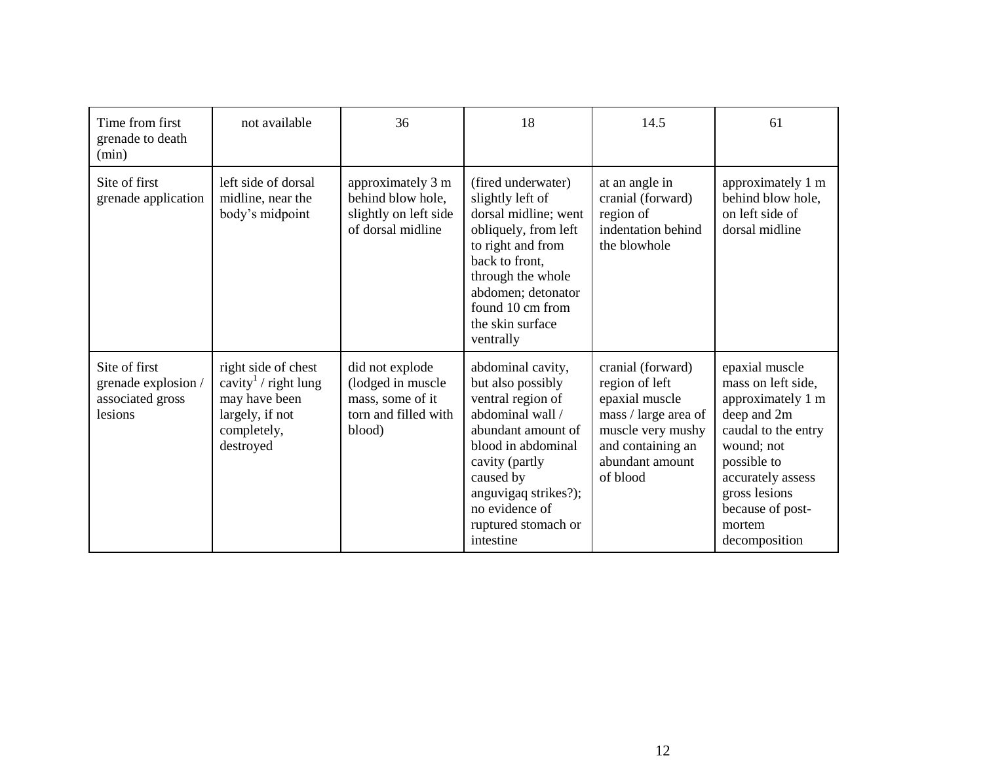| Time from first<br>grenade to death<br>(min)                        | not available                                                                                                          | 36                                                                                          | 18                                                                                                                                                                                                                                       | 14.5                                                                                                                                                   | 61                                                                                                                                                                                                                |
|---------------------------------------------------------------------|------------------------------------------------------------------------------------------------------------------------|---------------------------------------------------------------------------------------------|------------------------------------------------------------------------------------------------------------------------------------------------------------------------------------------------------------------------------------------|--------------------------------------------------------------------------------------------------------------------------------------------------------|-------------------------------------------------------------------------------------------------------------------------------------------------------------------------------------------------------------------|
| Site of first<br>grenade application                                | left side of dorsal<br>midline, near the<br>body's midpoint                                                            | approximately 3 m<br>behind blow hole,<br>slightly on left side<br>of dorsal midline        | (fired underwater)<br>slightly left of<br>dorsal midline; went<br>obliquely, from left<br>to right and from<br>back to front,<br>through the whole<br>abdomen; detonator<br>found 10 cm from<br>the skin surface<br>ventrally            | at an angle in<br>cranial (forward)<br>region of<br>indentation behind<br>the blowhole                                                                 | approximately 1 m<br>behind blow hole,<br>on left side of<br>dorsal midline                                                                                                                                       |
| Site of first<br>grenade explosion /<br>associated gross<br>lesions | right side of chest<br>cavity $\frac{1}{2}$ right lung<br>may have been<br>largely, if not<br>completely,<br>destroyed | did not explode<br>(lodged in muscle)<br>mass, some of it<br>torn and filled with<br>blood) | abdominal cavity,<br>but also possibly<br>ventral region of<br>abdominal wall /<br>abundant amount of<br>blood in abdominal<br>cavity (partly<br>caused by<br>anguvigaq strikes?);<br>no evidence of<br>ruptured stomach or<br>intestine | cranial (forward)<br>region of left<br>epaxial muscle<br>mass / large area of<br>muscle very mushy<br>and containing an<br>abundant amount<br>of blood | epaxial muscle<br>mass on left side,<br>approximately 1 m<br>deep and 2m<br>caudal to the entry<br>wound; not<br>possible to<br>accurately assess<br>gross lesions<br>because of post-<br>mortem<br>decomposition |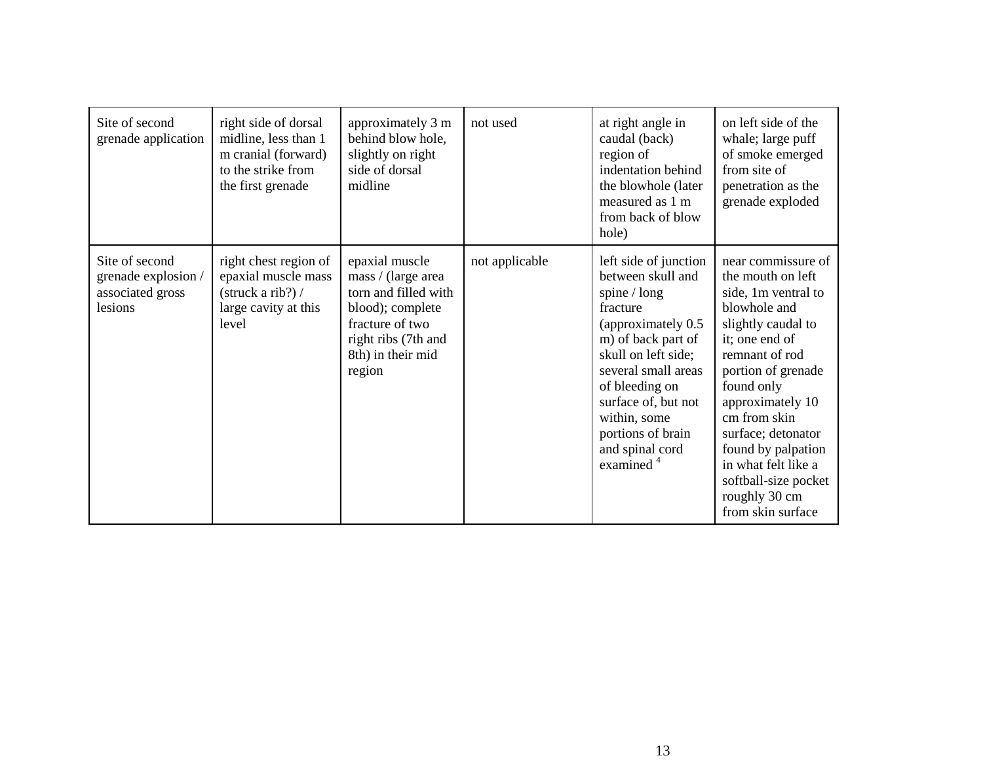| Site of second<br>grenade application                                | right side of dorsal<br>midline, less than 1<br>m cranial (forward)<br>to the strike from<br>the first grenade    | approximately 3 m<br>behind blow hole,<br>slightly on right<br>side of dorsal<br>midline                                                                  | not used       | at right angle in<br>caudal (back)<br>region of<br>indentation behind<br>the blowhole (later<br>measured as 1 m<br>from back of blow<br>hole)                                                                                                                                                | on left side of the<br>whale; large puff<br>of smoke emerged<br>from site of<br>penetration as the<br>grenade exploded                                                                                                                                                                                                                            |
|----------------------------------------------------------------------|-------------------------------------------------------------------------------------------------------------------|-----------------------------------------------------------------------------------------------------------------------------------------------------------|----------------|----------------------------------------------------------------------------------------------------------------------------------------------------------------------------------------------------------------------------------------------------------------------------------------------|---------------------------------------------------------------------------------------------------------------------------------------------------------------------------------------------------------------------------------------------------------------------------------------------------------------------------------------------------|
| Site of second<br>grenade explosion /<br>associated gross<br>lesions | right chest region of<br>epaxial muscle mass<br>$\frac{\text{struck a rib?}}{1}$<br>large cavity at this<br>level | epaxial muscle<br>mass / (large area<br>torn and filled with<br>blood); complete<br>fracture of two<br>right ribs (7th and<br>8th) in their mid<br>region | not applicable | left side of junction<br>between skull and<br>spine $/\log$<br>fracture<br>(approximately 0.5)<br>m) of back part of<br>skull on left side;<br>several small areas<br>of bleeding on<br>surface of, but not<br>within, some<br>portions of brain<br>and spinal cord<br>examined <sup>4</sup> | near commissure of<br>the mouth on left<br>side, 1m ventral to<br>blowhole and<br>slightly caudal to<br>it; one end of<br>remnant of rod<br>portion of grenade<br>found only<br>approximately 10<br>cm from skin<br>surface; detonator<br>found by palpation<br>in what felt like a<br>softball-size pocket<br>roughly 30 cm<br>from skin surface |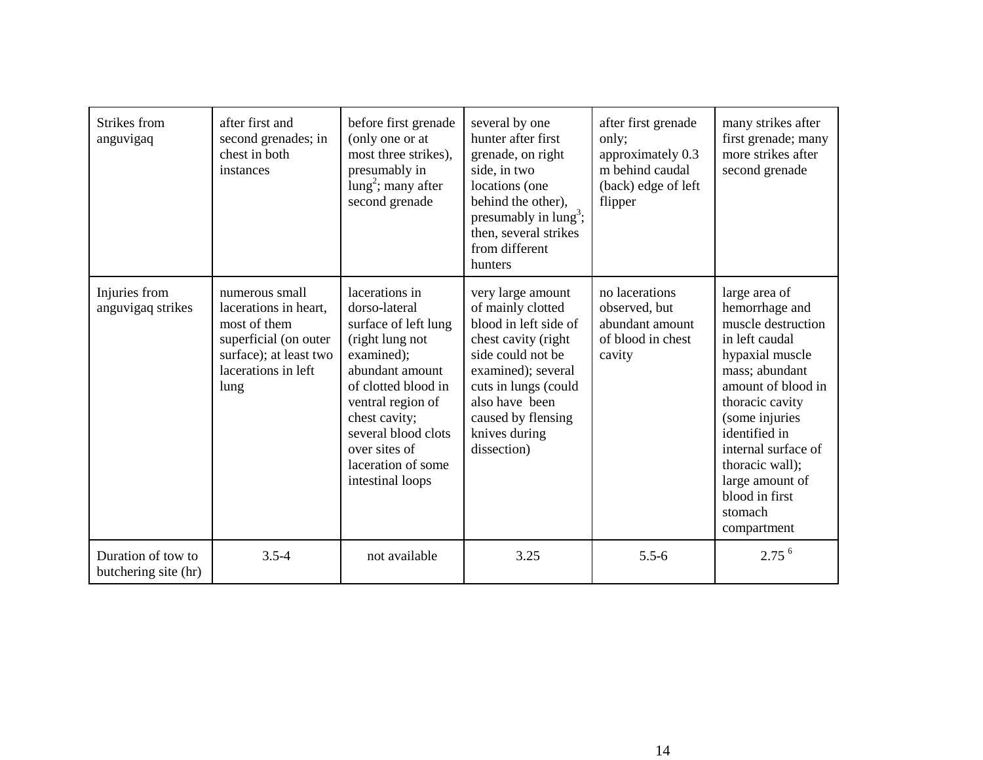| Strikes from<br>anguvigaq                  | after first and<br>second grenades; in<br>chest in both<br>instances                                                                      | before first grenade<br>(only one or at<br>most three strikes),<br>presumably in<br>$lung2$ ; many after<br>second grenade                                                                                                                                 | several by one<br>hunter after first<br>grenade, on right<br>side, in two<br>locations (one<br>behind the other),<br>presumably in $lung^3$ ;<br>then, several strikes<br>from different<br>hunters                               | after first grenade<br>only;<br>approximately 0.3<br>m behind caudal<br>(back) edge of left<br>flipper | many strikes after<br>first grenade; many<br>more strikes after<br>second grenade                                                                                                                                                                                                                 |
|--------------------------------------------|-------------------------------------------------------------------------------------------------------------------------------------------|------------------------------------------------------------------------------------------------------------------------------------------------------------------------------------------------------------------------------------------------------------|-----------------------------------------------------------------------------------------------------------------------------------------------------------------------------------------------------------------------------------|--------------------------------------------------------------------------------------------------------|---------------------------------------------------------------------------------------------------------------------------------------------------------------------------------------------------------------------------------------------------------------------------------------------------|
| Injuries from<br>anguvigaq strikes         | numerous small<br>lacerations in heart,<br>most of them<br>superficial (on outer<br>surface); at least two<br>lacerations in left<br>lung | lacerations in<br>dorso-lateral<br>surface of left lung<br>(right lung not<br>examined);<br>abundant amount<br>of clotted blood in<br>ventral region of<br>chest cavity;<br>several blood clots<br>over sites of<br>laceration of some<br>intestinal loops | very large amount<br>of mainly clotted<br>blood in left side of<br>chest cavity (right<br>side could not be<br>examined); several<br>cuts in lungs (could<br>also have been<br>caused by flensing<br>knives during<br>dissection) | no lacerations<br>observed, but<br>abundant amount<br>of blood in chest<br>cavity                      | large area of<br>hemorrhage and<br>muscle destruction<br>in left caudal<br>hypaxial muscle<br>mass; abundant<br>amount of blood in<br>thoracic cavity<br>(some injuries<br>identified in<br>internal surface of<br>thoracic wall);<br>large amount of<br>blood in first<br>stomach<br>compartment |
| Duration of tow to<br>butchering site (hr) | $3.5 - 4$                                                                                                                                 | not available                                                                                                                                                                                                                                              | 3.25                                                                                                                                                                                                                              | $5.5 - 6$                                                                                              | 2.75 <sup>6</sup>                                                                                                                                                                                                                                                                                 |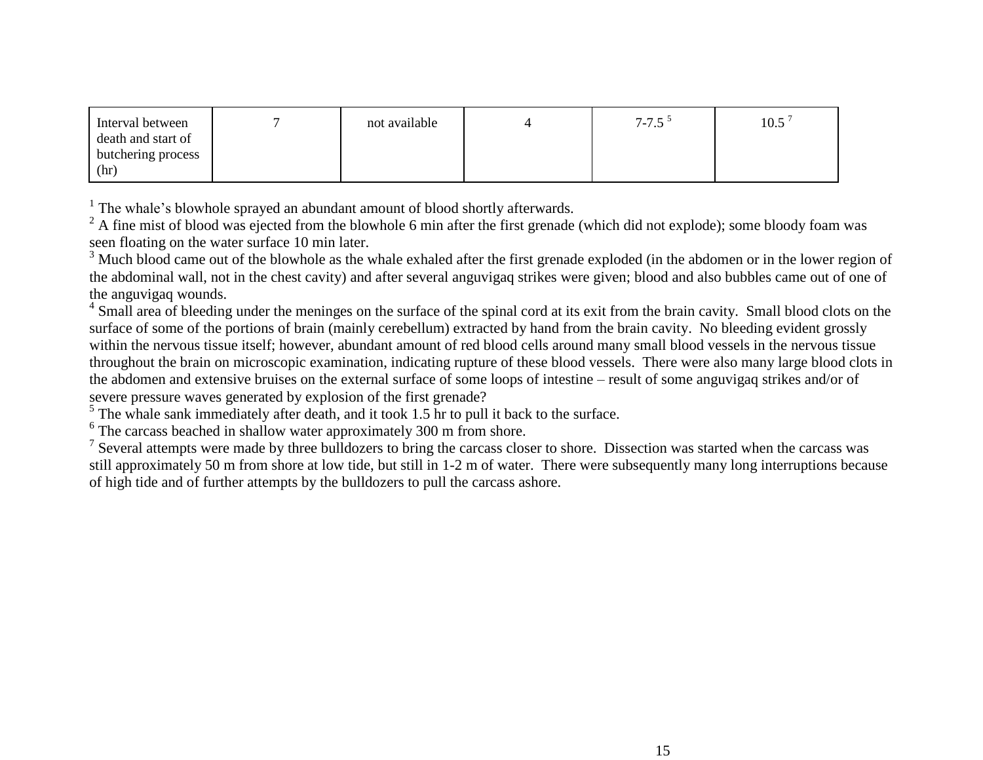| Interval between   | not available | $7 - 7.5$ <sup>5</sup> | $10.5^{\degree}$ |
|--------------------|---------------|------------------------|------------------|
| death and start of |               |                        |                  |
| butchering process |               |                        |                  |
| (hr)               |               |                        |                  |

<sup>1</sup> The whale's blowhole sprayed an abundant amount of blood shortly afterwards.

<sup>2</sup> A fine mist of blood was ejected from the blowhole 6 min after the first grenade (which did not explode); some bloody foam was seen floating on the water surface 10 min later.

<sup>3</sup> Much blood came out of the blowhole as the whale exhaled after the first grenade exploded (in the abdomen or in the lower region of the abdominal wall, not in the chest cavity) and after several anguvigaq strikes were given; blood and also bubbles came out of one of the anguvigaq wounds.

<sup>4</sup> Small area of bleeding under the meninges on the surface of the spinal cord at its exit from the brain cavity. Small blood clots on the surface of some of the portions of brain (mainly cerebellum) extracted by hand from the brain cavity. No bleeding evident grossly within the nervous tissue itself; however, abundant amount of red blood cells around many small blood vessels in the nervous tissue throughout the brain on microscopic examination, indicating rupture of these blood vessels. There were also many large blood clots in the abdomen and extensive bruises on the external surface of some loops of intestine – result of some anguvigaq strikes and/or of severe pressure waves generated by explosion of the first grenade?

 $<sup>5</sup>$  The whale sank immediately after death, and it took 1.5 hr to pull it back to the surface.</sup>

<sup>6</sup> The carcass beached in shallow water approximately 300 m from shore.

<sup>7</sup> Several attempts were made by three bulldozers to bring the carcass closer to shore. Dissection was started when the carcass was still approximately 50 m from shore at low tide, but still in 1-2 m of water. There were subsequently many long interruptions because of high tide and of further attempts by the bulldozers to pull the carcass ashore.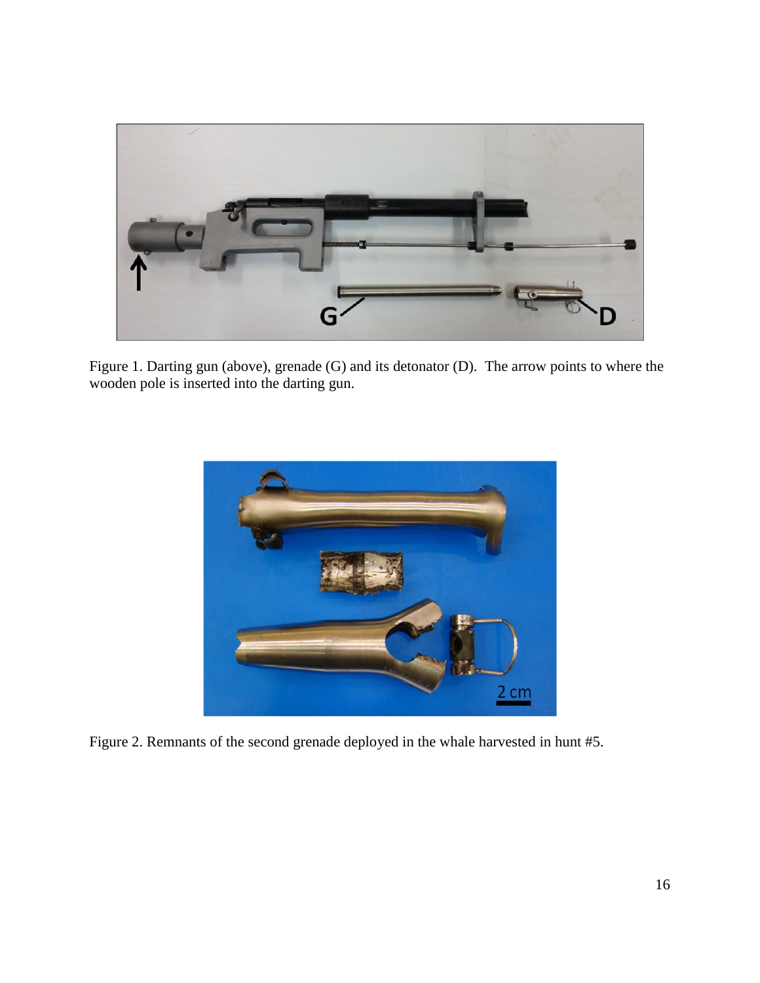

Figure 1. Darting gun (above), grenade (G) and its detonator (D). The arrow points to where the wooden pole is inserted into the darting gun.



Figure 2. Remnants of the second grenade deployed in the whale harvested in hunt #5.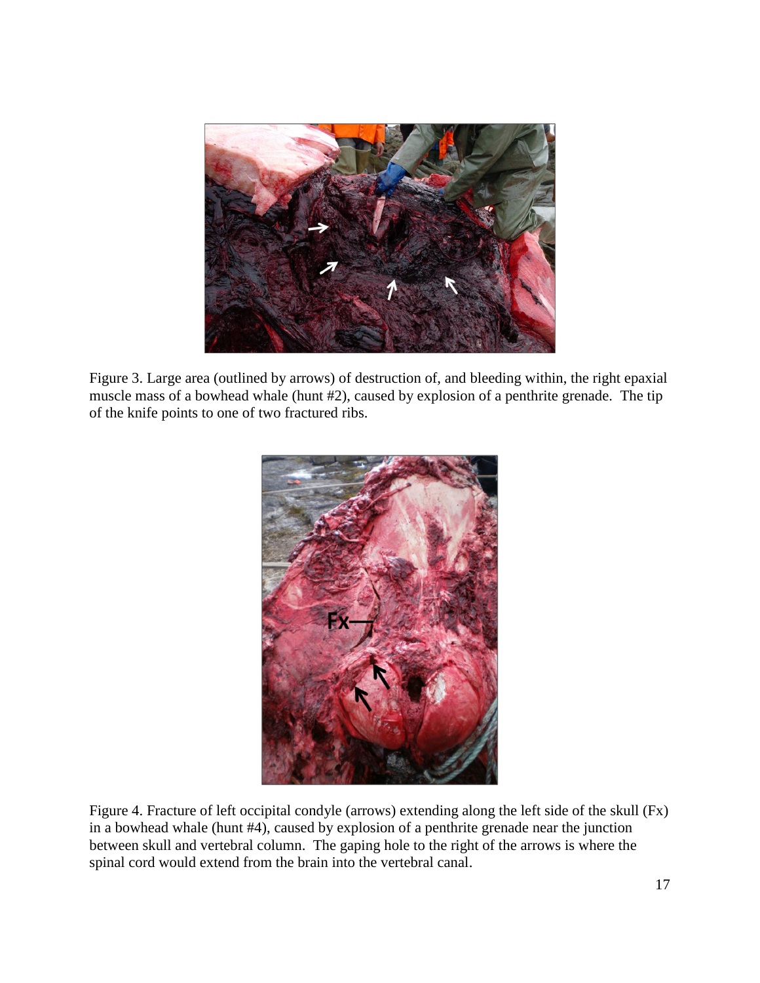

Figure 3. Large area (outlined by arrows) of destruction of, and bleeding within, the right epaxial muscle mass of a bowhead whale (hunt #2), caused by explosion of a penthrite grenade. The tip of the knife points to one of two fractured ribs.



Figure 4. Fracture of left occipital condyle (arrows) extending along the left side of the skull (Fx) in a bowhead whale (hunt #4), caused by explosion of a penthrite grenade near the junction between skull and vertebral column. The gaping hole to the right of the arrows is where the spinal cord would extend from the brain into the vertebral canal.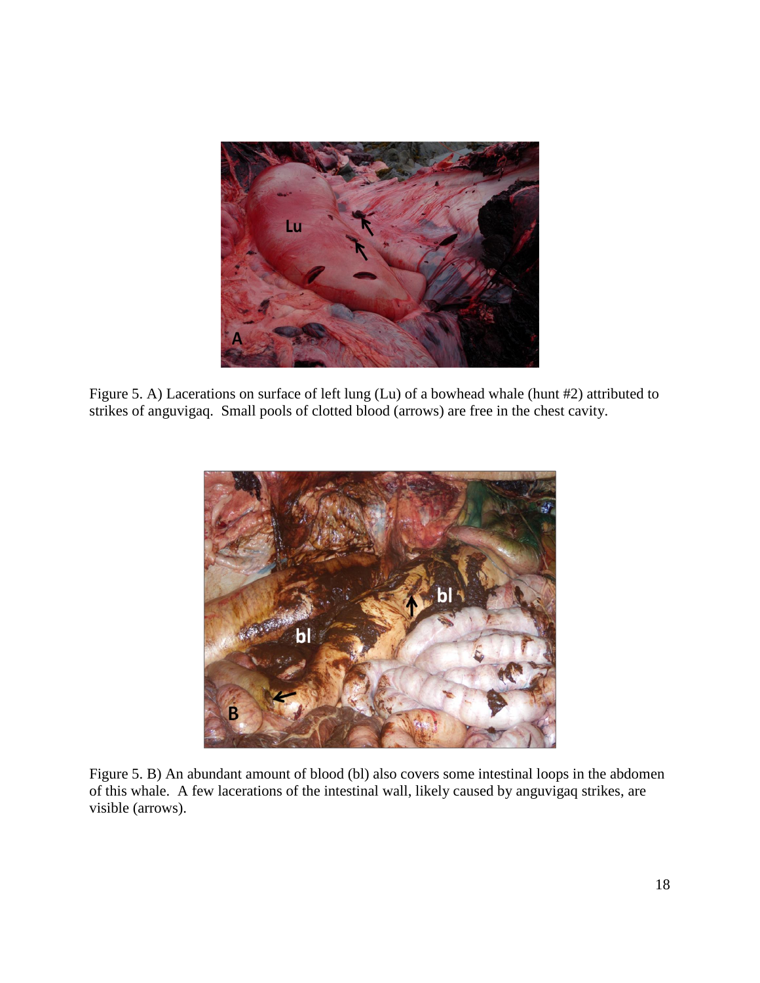

Figure 5. A) Lacerations on surface of left lung (Lu) of a bowhead whale (hunt #2) attributed to strikes of anguvigaq. Small pools of clotted blood (arrows) are free in the chest cavity.



Figure 5. B) An abundant amount of blood (bl) also covers some intestinal loops in the abdomen of this whale. A few lacerations of the intestinal wall, likely caused by anguvigaq strikes, are visible (arrows).